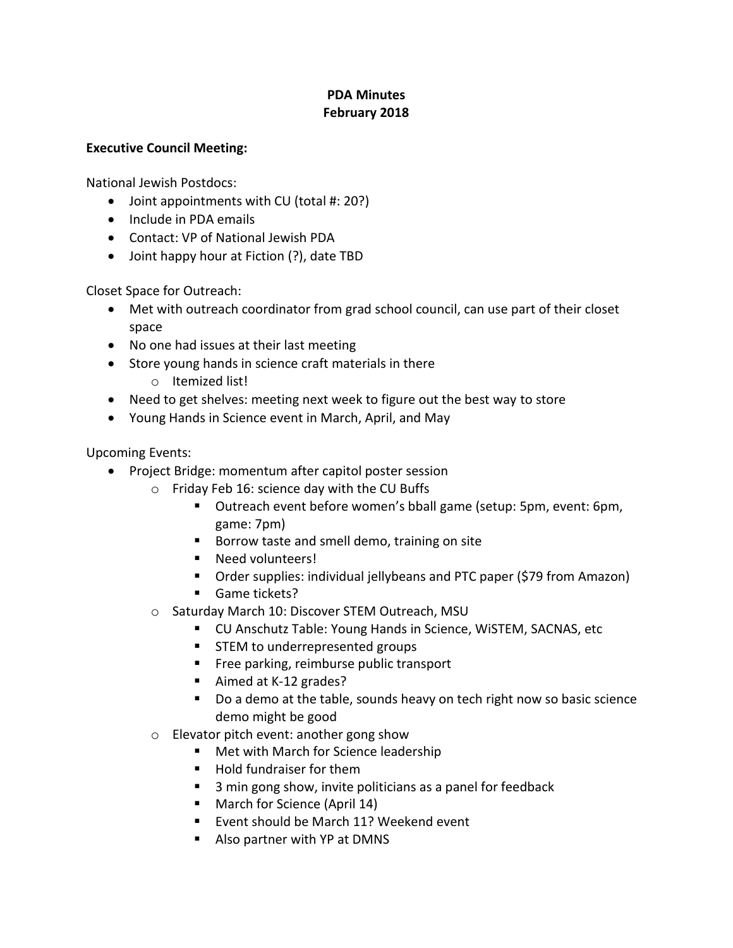## **PDA Minutes February 2018**

## **Executive Council Meeting:**

National Jewish Postdocs:

- Joint appointments with CU (total #: 20?)
- Include in PDA emails
- Contact: VP of National Jewish PDA
- Joint happy hour at Fiction (?), date TBD

Closet Space for Outreach:

- Met with outreach coordinator from grad school council, can use part of their closet space
- No one had issues at their last meeting
- Store young hands in science craft materials in there
	- o Itemized list!
- Need to get shelves: meeting next week to figure out the best way to store
- Young Hands in Science event in March, April, and May

Upcoming Events:

- Project Bridge: momentum after capitol poster session
	- o Friday Feb 16: science day with the CU Buffs
		- Outreach event before women's bball game (setup: 5pm, event: 6pm, game: 7pm)
		- Borrow taste and smell demo, training on site
		- Need volunteers!
		- Order supplies: individual jellybeans and PTC paper (\$79 from Amazon)
		- **Game tickets?**
	- o Saturday March 10: Discover STEM Outreach, MSU
		- CU Anschutz Table: Young Hands in Science, WiSTEM, SACNAS, etc
		- **STEM to underrepresented groups**
		- **Filter** Free parking, reimburse public transport
		- Aimed at K-12 grades?
		- Do a demo at the table, sounds heavy on tech right now so basic science demo might be good
	- o Elevator pitch event: another gong show
		- **Met with March for Science leadership**
		- Hold fundraiser for them
		- 3 min gong show, invite politicians as a panel for feedback
		- March for Science (April 14)
		- **Event should be March 11? Weekend event**
		- Also partner with YP at DMNS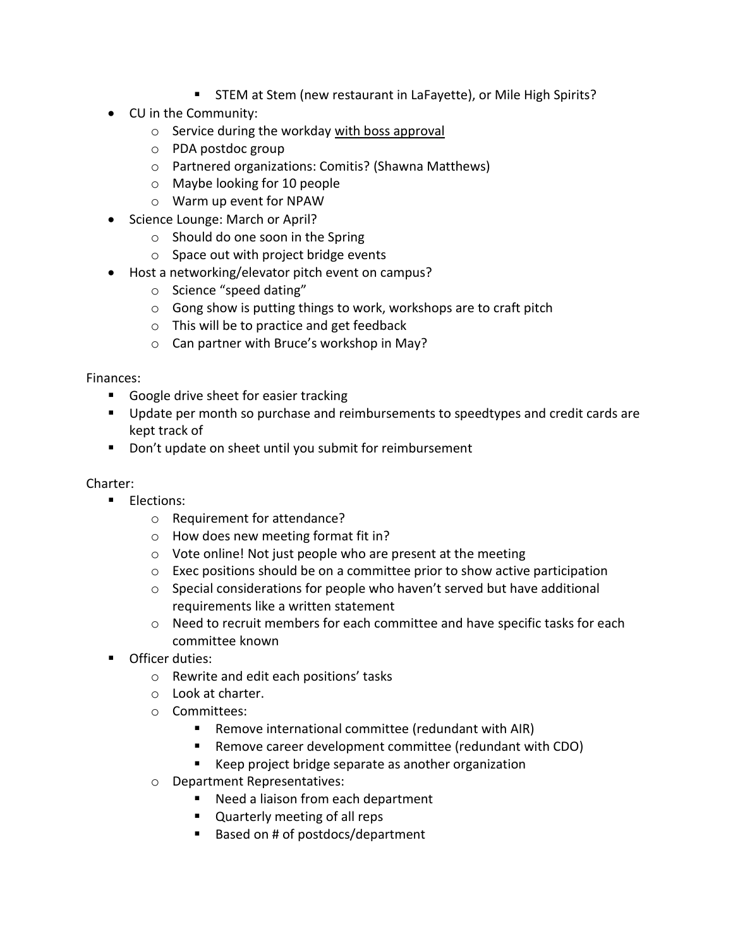- STEM at Stem (new restaurant in LaFayette), or Mile High Spirits?
- CU in the Community:
	- o Service during the workday with boss approval
	- o PDA postdoc group
	- o Partnered organizations: Comitis? (Shawna Matthews)
	- o Maybe looking for 10 people
	- o Warm up event for NPAW
- Science Lounge: March or April?
	- o Should do one soon in the Spring
	- $\circ$  Space out with project bridge events
- Host a networking/elevator pitch event on campus?
	- o Science "speed dating"
	- o Gong show is putting things to work, workshops are to craft pitch
	- o This will be to practice and get feedback
	- o Can partner with Bruce's workshop in May?

Finances:

- Google drive sheet for easier tracking
- **Update per month so purchase and reimbursements to speedtypes and credit cards are** kept track of
- Don't update on sheet until you submit for reimbursement

Charter:

- **Elections:** 
	- o Requirement for attendance?
	- o How does new meeting format fit in?
	- o Vote online! Not just people who are present at the meeting
	- $\circ$  Exec positions should be on a committee prior to show active participation
	- $\circ$  Special considerations for people who haven't served but have additional requirements like a written statement
	- o Need to recruit members for each committee and have specific tasks for each committee known
- **Officer duties:** 
	- o Rewrite and edit each positions' tasks
	- o Look at charter.
	- o Committees:
		- Remove international committee (redundant with AIR)
		- Remove career development committee (redundant with CDO)
		- Keep project bridge separate as another organization
	- o Department Representatives:
		- Need a liaison from each department
		- **Quarterly meeting of all reps**
		- Based on # of postdocs/department